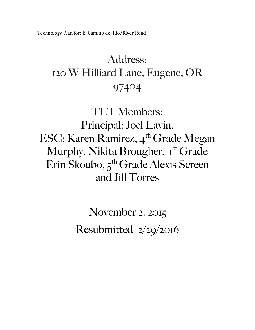Technology Plan for: El Camino del Rio/River Road

### Address: 120 W Hilliard Lane, Eugene, OR 97404

TLT Members: Principal: Joel Lavin, ESC: Karen Ramirez, 4<sup>th</sup> Grade Megan Murphy, Nikita Brougher, 1<sup>st</sup> Grade Erin Skoubo, 5<sup>th</sup> Grade Alexis Screen and Jill Torres

> November 2, 2015 Resubmitted 2/29/2016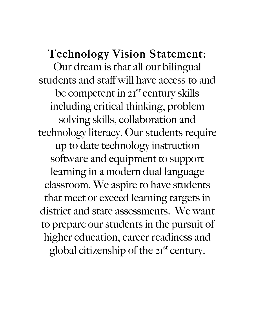### Technology Vision Statement:

Our dream is that all our bilingual students and staff will have access to and be competent in 2<sup>st</sup> century skills including critical thinking, problem solving skills, collaboration and technology literacy. Our students require up to date technology instruction software and equipment to support learning in a modern dual language classroom. We aspire to have students that meet or exceed learning targets in district and state assessments. We want to prepare our students in the pursuit of higher education, career readiness and global citizenship of the  $2I<sup>st</sup>$  century.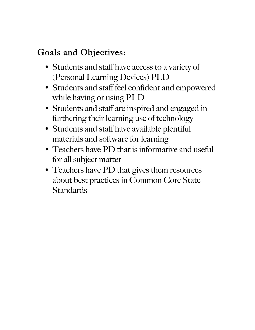#### Goals and Objectives:

- Students and staff have access to a variety of (Personal Learning Devices) PLD
- Students and staff feel confident and empowered while having or using PLD
- Students and staff are inspired and engaged in furthering their learning use of technology
- Students and staff have available plentiful materials and software for learning
- Teachers have PD that is informative and useful for all subject matter
- Teachers have PD that gives them resources about best practices in Common Core State **Standards**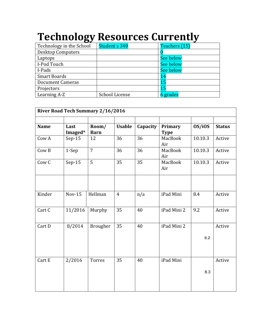## **Technology Resources Currently**

| Technology in the School | Student s 340  | Teachers (15)    |
|--------------------------|----------------|------------------|
| <b>Desktop Computers</b> |                |                  |
| Laptops                  |                | See below        |
| I-Pod Touch              |                | <b>See below</b> |
| I-Pads                   |                | <b>See below</b> |
| <b>Smart Boards</b>      |                | 14               |
| <b>Document Cameras</b>  |                | 15               |
| Projectors               |                | 15               |
| Learning A-Z             | School License | 6 grades         |

| <b>River Road Tech Summary 2/16/2016</b> |                |                |          |                |             |               |
|------------------------------------------|----------------|----------------|----------|----------------|-------------|---------------|
| Last                                     | Room/          | <b>Usable</b>  | Capacity | Primary        | OS/iOS      | <b>Status</b> |
| $Sep-15$                                 | 12             | 36             | 36       | MacBook<br>Air | 10.10.3     | Active        |
| 1-Sep                                    | $\overline{7}$ | 36             | 36       | MacBook<br>Air | 10.10.3     | Active        |
| $Sep-15$                                 | 5              | 35             | 35       | MacBook<br>Air | 10.10.3     | Active        |
|                                          |                |                |          |                |             |               |
| <b>Nov-15</b>                            | Hellman        | $\overline{4}$ | n/a      | iPad Mini      | 8.4         | Active        |
| 11/2016                                  | Murphy         | 35             | 40       | iPad Mini 2    | 9.2         | Active        |
| 8/2014                                   | Brougher       | 35             | 40       | iPad Mini 2    |             | Active        |
|                                          |                |                |          |                | 9.2         |               |
| 2/2016                                   | <b>Torres</b>  | 35             | 40       | iPad Mini      | 8.3         | Active        |
|                                          | Imaged*        | <b>Barn</b>    |          |                | <b>Type</b> |               |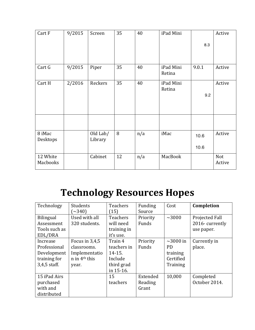| Cart F               | 9/2015 | Screen              | 35 | 40  | iPad Mini           |       | Active        |
|----------------------|--------|---------------------|----|-----|---------------------|-------|---------------|
|                      |        |                     |    |     |                     | 8.3   |               |
|                      |        |                     |    |     |                     |       |               |
| Cart G               | 9/2015 | Piper               | 35 | 40  | iPad Mini<br>Retina | 9.0.1 | Active        |
| Cart H               | 2/2016 | Reckers             | 35 | 40  | iPad Mini<br>Retina |       | Active        |
|                      |        |                     |    |     |                     | 9.2   |               |
|                      |        |                     |    |     |                     |       |               |
|                      |        |                     |    |     |                     |       |               |
| 8 iMac<br>Desktops   |        | Old Lab/<br>Library | 8  | n/a | iMac                | 10.6  | Active        |
|                      |        |                     |    |     |                     | 10.6  |               |
| 12 White<br>Macbooks |        | Cabinet             | 12 | n/a | MacBook             |       | Not<br>Active |

### **Technology Resources Hopes**

| Technology       | Students          | <b>Teachers</b> | Funding  | Cost           | Completion     |
|------------------|-------------------|-----------------|----------|----------------|----------------|
|                  | $\sim$ 340)       | (15)            | Source   |                |                |
| <b>Bilingual</b> | Used with all     | <b>Teachers</b> | Priority | $\sim$ 3000    | Projected Fall |
| Assessment       | 320 students.     | will need       | Funds    |                | 2016-currently |
| Tools such as    |                   | training in     |          |                | use paper.     |
| EDL/DRA          |                   | it's use.       |          |                |                |
| Increase         | Focus in 3,4,5    | Train 4         | Priority | $\sim$ 3000 in | Currently in   |
| Professional     | classrooms.       | teachers in     | Funds    | PD.            | place.         |
| Development      | Implementatio     | $14 - 15.$      |          | training       |                |
| training for     | $n$ in $4th$ this | Include         |          | Certified      |                |
| $3,4,5$ staff.   | year.             | third grad      |          | Training       |                |
|                  |                   | in 15-16.       |          |                |                |
| 15 iPad Airs     |                   | 15              | Extended | 10,000         | Completed      |
| purchased        |                   | teachers        | Reading  |                | October 2014.  |
| with and         |                   |                 | Grant    |                |                |
| distributed      |                   |                 |          |                |                |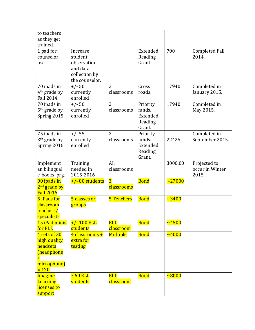| to teachers              |                   |                 |             |              |                       |
|--------------------------|-------------------|-----------------|-------------|--------------|-----------------------|
| as they get              |                   |                 |             |              |                       |
| trained.                 |                   |                 |             |              |                       |
| 1 pad for                | Increase          |                 | Extended    | 700          | <b>Completed Fall</b> |
| counselor                | student           |                 | Reading     |              | 2014.                 |
| use                      | observation       |                 | Grant       |              |                       |
|                          | and data          |                 |             |              |                       |
|                          | collection by     |                 |             |              |                       |
|                          | the counselor.    |                 |             |              |                       |
| 70 ipads in              | $+/- 50$          | $\overline{2}$  | Cross       | 17940        | Completed in          |
| 4 <sup>th</sup> grade by | currently         | classrooms      | roads.      |              | January 2015.         |
| Fall 2014.               | enrolled          |                 |             |              |                       |
| 70 ipads in              | $+/- 50$          | $\overline{2}$  | Priority    | 17940        | Completed in          |
| 5 <sup>th</sup> grade by | currently         | classrooms      | funds.      |              | May 2015.             |
| Spring 2015.             | enrolled          |                 | Extended    |              |                       |
|                          |                   |                 | Reading     |              |                       |
|                          |                   |                 | Grant.      |              |                       |
| 75 ipads in              | $+/- 55$          | $\overline{2}$  | Priority    |              | Completed in          |
| 3 <sup>th</sup> grade by | currently         | classrooms      | funds.      | 22425        | September 2015.       |
| Spring 2016.             | enrolled          |                 | Extended    |              |                       |
|                          |                   |                 | Reading     |              |                       |
|                          |                   |                 | Grant.      |              |                       |
| Implement                | Training          | All             |             | 3000.00      | Projected to          |
| an bilingual             | needed in         | classrooms      |             |              | occur in Winter       |
| e-books prg.             | 2015-2016         |                 |             |              | 2015.                 |
| 90 ipads in              | $+/- 80$ students | $\overline{3}$  | <b>Bond</b> | $\sim$ 27000 |                       |
| 2 <sup>nd</sup> grade by |                   | classrooms      |             |              |                       |
| <b>Fall 2016</b>         |                   |                 |             |              |                       |
| 5 iPads for              | 5 classes or      | 5 Teachers      | <b>Bond</b> | $\sim 3400$  |                       |
| classroom                | groups            |                 |             |              |                       |
| teachers/                |                   |                 |             |              |                       |
| specialists              |                   |                 |             |              |                       |
| 15 iPad minis            | $+/- 100$ ELL     | <b>ELL</b>      | <b>Bond</b> | $\sim 4500$  |                       |
| for ELL                  | students          | classroom       |             |              |                       |
| 4 sets of 30             | 4 classrooms +    | <b>Multiple</b> | <b>Bond</b> | $\sim 4000$  |                       |
| high quality             | extra for         |                 |             |              |                       |
| headsets                 | testing           |                 |             |              |                       |
| (headphone               |                   |                 |             |              |                       |
| $\pm$                    |                   |                 |             |              |                       |
| microphone)<br>$= 120$   |                   |                 |             |              |                       |
|                          | $\sim$ 60 ELL     | <b>ELL</b>      |             |              |                       |
| <b>Imagine</b>           | students          | classroom       | <b>Bond</b> | $\sim 8000$  |                       |
| Learning                 |                   |                 |             |              |                       |
| licenses to              |                   |                 |             |              |                       |
| support                  |                   |                 |             |              |                       |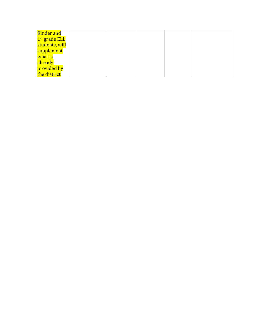| Kinder and                |  |  |  |
|---------------------------|--|--|--|
| 1 <sup>st</sup> grade ELL |  |  |  |
| students, will            |  |  |  |
| supplement                |  |  |  |
| what is                   |  |  |  |
| already                   |  |  |  |
| provided by               |  |  |  |
| the district              |  |  |  |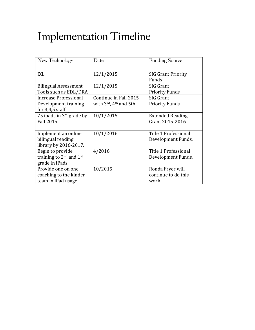# Implementation Timeline

| New Technology               | Date                                           | <b>Funding Source</b>     |
|------------------------------|------------------------------------------------|---------------------------|
|                              |                                                |                           |
| <b>IXL</b>                   | 12/1/2015                                      | <b>SIG Grant Priority</b> |
|                              |                                                | Funds                     |
| <b>Bilingual Assessment</b>  | 12/1/2015                                      | SIG Grant                 |
| Tools such as EDL/DRA        |                                                | <b>Priority Funds</b>     |
| <b>Increase Professional</b> | Continue in Fall 2015                          | <b>SIG Grant</b>          |
| Development training         | with $3^{\text{rd}}$ , 4 <sup>th</sup> and 5th | <b>Priority Funds</b>     |
| for $3,4,5$ staff.           |                                                |                           |
| 75 ipads in $3th$ grade by   | 10/1/2015                                      | <b>Extended Reading</b>   |
| Fall 2015.                   |                                                | Grant 2015-2016           |
|                              |                                                |                           |
| Implement an online          | 10/1/2016                                      | Title 1 Professional      |
| bilingual reading            |                                                | Development Funds.        |
| library by 2016-2017.        |                                                |                           |
| Begin to provide             | 4/2016                                         | Title 1 Professional      |
| training to $2nd$ and $1st$  |                                                | Development Funds.        |
| grade in iPads.              |                                                |                           |
| Provide one on one           | 10/2015                                        | Ronda Fryer will          |
| coaching to the kinder       |                                                | continue to do this       |
| team in iPad usage.          |                                                | work.                     |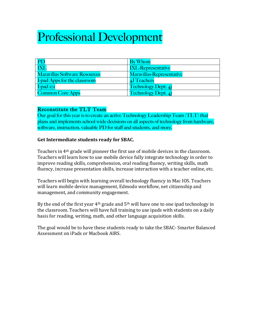## Professional Development

|                                      | <b>By Whom</b>                   |
|--------------------------------------|----------------------------------|
|                                      | <b>IXL-Representative</b>        |
| <b>Maravillas Software Resources</b> | <b>Maravillas-Representative</b> |
| I-pad Apps for the classroom         | 4J Teachers                      |
| $I$ -pad $I$ o $I$                   | <b>Technology Dept. 4j</b>       |
| <b>Common Core Apps</b>              | <b>Technology Dept. 4j</b>       |

#### Reconstitute the TLT Team

Our goal for this year is to create an active Technology Leadership Team (TLT) that plans and implements school wide decisions on all aspects of technology from hardware, software, instruction, valuable PD for staff and students, and more.

#### **Get Intermediate students ready for SBAC.**

Teachers in  $4<sup>th</sup>$  grade will pioneer the first use of mobile devices in the classroom. Teachers will learn how to use mobile device fully integrate technology in order to improve reading skills, comprehension, oral reading fluency, writing skills, math fluency, increase presentation skills, increase interaction with a teacher online, etc.

Teachers will begin with learning overall technology fluency in Mac IOS. Teachers will learn mobile device management, Edmodo workflow, net citizenship and management, and community engagement.

By the end of the first year  $4<sup>th</sup>$  grade and  $5<sup>th</sup>$  will have one to one ipad technology in the classroom. Teachers will have full training to use ipads with students on a daily basis for reading, writing, math, and other language acquisition skills.

The goal would be to have these students ready to take the SBAC-Smarter Balanced Assessment on iPads or Machook AIRS.